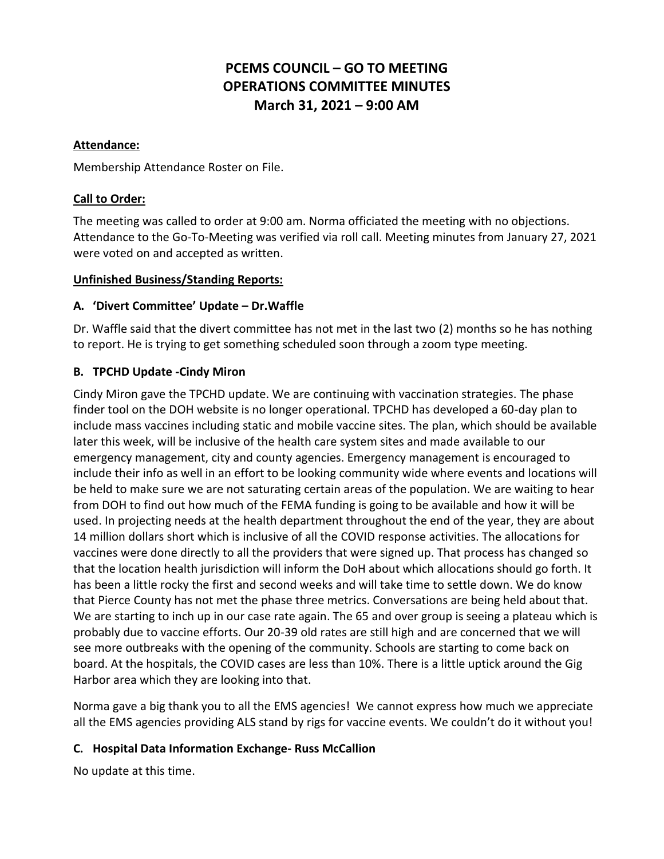# **PCEMS COUNCIL – GO TO MEETING OPERATIONS COMMITTEE MINUTES March 31, 2021 – 9:00 AM**

#### **Attendance:**

Membership Attendance Roster on File.

## **Call to Order:**

The meeting was called to order at 9:00 am. Norma officiated the meeting with no objections. Attendance to the Go-To-Meeting was verified via roll call. Meeting minutes from January 27, 2021 were voted on and accepted as written.

#### **Unfinished Business/Standing Reports:**

## **A. 'Divert Committee' Update – Dr.Waffle**

Dr. Waffle said that the divert committee has not met in the last two (2) months so he has nothing to report. He is trying to get something scheduled soon through a zoom type meeting.

## **B. TPCHD Update -Cindy Miron**

Cindy Miron gave the TPCHD update. We are continuing with vaccination strategies. The phase finder tool on the DOH website is no longer operational. TPCHD has developed a 60-day plan to include mass vaccines including static and mobile vaccine sites. The plan, which should be available later this week, will be inclusive of the health care system sites and made available to our emergency management, city and county agencies. Emergency management is encouraged to include their info as well in an effort to be looking community wide where events and locations will be held to make sure we are not saturating certain areas of the population. We are waiting to hear from DOH to find out how much of the FEMA funding is going to be available and how it will be used. In projecting needs at the health department throughout the end of the year, they are about 14 million dollars short which is inclusive of all the COVID response activities. The allocations for vaccines were done directly to all the providers that were signed up. That process has changed so that the location health jurisdiction will inform the DoH about which allocations should go forth. It has been a little rocky the first and second weeks and will take time to settle down. We do know that Pierce County has not met the phase three metrics. Conversations are being held about that. We are starting to inch up in our case rate again. The 65 and over group is seeing a plateau which is probably due to vaccine efforts. Our 20-39 old rates are still high and are concerned that we will see more outbreaks with the opening of the community. Schools are starting to come back on board. At the hospitals, the COVID cases are less than 10%. There is a little uptick around the Gig Harbor area which they are looking into that.

Norma gave a big thank you to all the EMS agencies! We cannot express how much we appreciate all the EMS agencies providing ALS stand by rigs for vaccine events. We couldn't do it without you!

## **C. Hospital Data Information Exchange- Russ McCallion**

No update at this time.